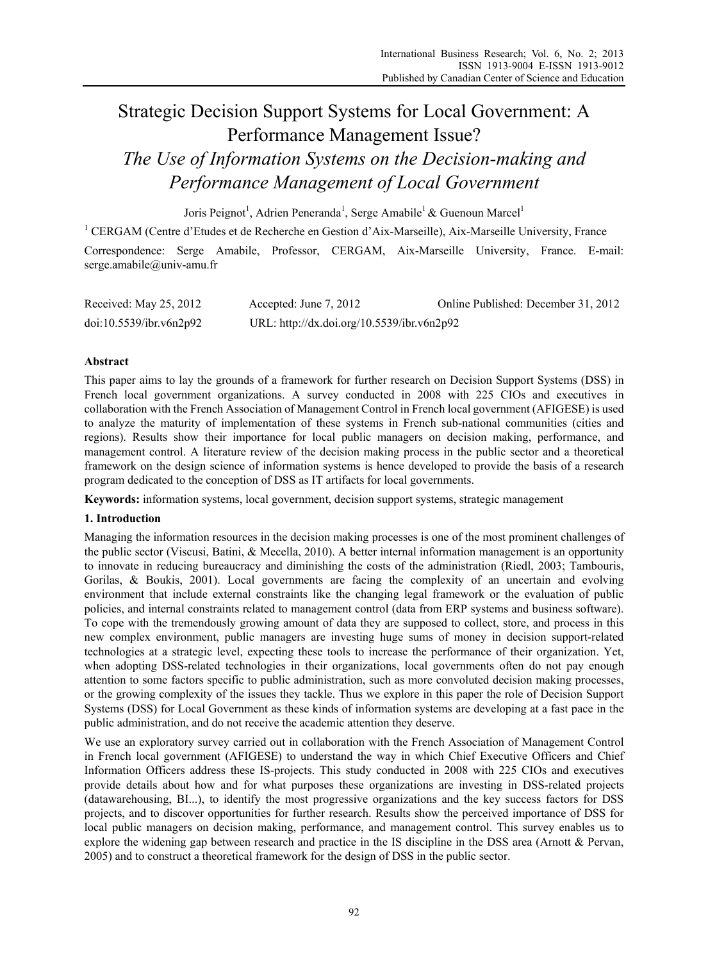# Strategic Decision Support Systems for Local Government: A Performance Management Issue? *The Use of Information Systems on the Decision-making and Performance Management of Local Government*

Joris Peignot<sup>1</sup>, Adrien Peneranda<sup>1</sup>, Serge Amabile<sup>1</sup> & Guenoun Marcel<sup>1</sup>

<sup>1</sup> CERGAM (Centre d'Etudes et de Recherche en Gestion d'Aix-Marseille), Aix-Marseille University, France

Correspondence: Serge Amabile, Professor, CERGAM, Aix-Marseille University, France. E-mail: serge.amabile@univ-amu.fr

| Received: May 25, 2012  | Accepted: June 7, 2012                     | Online Published: December 31, 2012 |
|-------------------------|--------------------------------------------|-------------------------------------|
| doi:10.5539/ibr.v6n2p92 | URL: http://dx.doi.org/10.5539/ibr.v6n2p92 |                                     |

#### **Abstract**

This paper aims to lay the grounds of a framework for further research on Decision Support Systems (DSS) in French local government organizations. A survey conducted in 2008 with 225 CIOs and executives in collaboration with the French Association of Management Control in French local government (AFIGESE) is used to analyze the maturity of implementation of these systems in French sub-national communities (cities and regions). Results show their importance for local public managers on decision making, performance, and management control. A literature review of the decision making process in the public sector and a theoretical framework on the design science of information systems is hence developed to provide the basis of a research program dedicated to the conception of DSS as IT artifacts for local governments.

**Keywords:** information systems, local government, decision support systems, strategic management

#### **1. Introduction**

Managing the information resources in the decision making processes is one of the most prominent challenges of the public sector (Viscusi, Batini, & Mecella, 2010). A better internal information management is an opportunity to innovate in reducing bureaucracy and diminishing the costs of the administration (Riedl, 2003; Tambouris, Gorilas, & Boukis, 2001). Local governments are facing the complexity of an uncertain and evolving environment that include external constraints like the changing legal framework or the evaluation of public policies, and internal constraints related to management control (data from ERP systems and business software). To cope with the tremendously growing amount of data they are supposed to collect, store, and process in this new complex environment, public managers are investing huge sums of money in decision support-related technologies at a strategic level, expecting these tools to increase the performance of their organization. Yet, when adopting DSS-related technologies in their organizations, local governments often do not pay enough attention to some factors specific to public administration, such as more convoluted decision making processes, or the growing complexity of the issues they tackle. Thus we explore in this paper the role of Decision Support Systems (DSS) for Local Government as these kinds of information systems are developing at a fast pace in the public administration, and do not receive the academic attention they deserve.

We use an exploratory survey carried out in collaboration with the French Association of Management Control in French local government (AFIGESE) to understand the way in which Chief Executive Officers and Chief Information Officers address these IS-projects. This study conducted in 2008 with 225 CIOs and executives provide details about how and for what purposes these organizations are investing in DSS-related projects (datawarehousing, BI...), to identify the most progressive organizations and the key success factors for DSS projects, and to discover opportunities for further research. Results show the perceived importance of DSS for local public managers on decision making, performance, and management control. This survey enables us to explore the widening gap between research and practice in the IS discipline in the DSS area (Arnott & Pervan, 2005) and to construct a theoretical framework for the design of DSS in the public sector.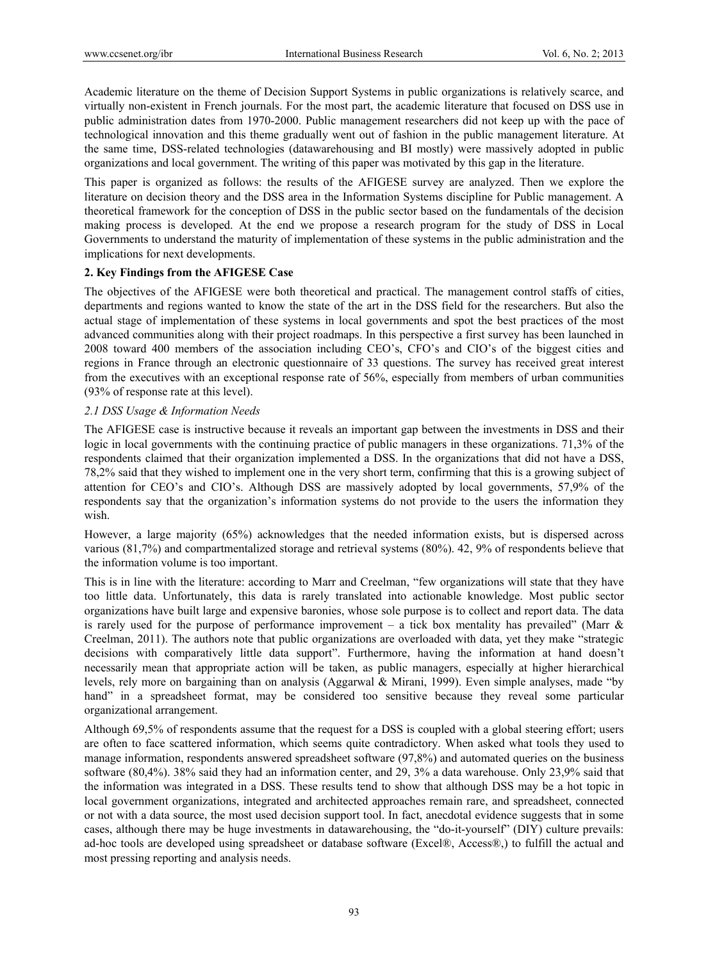Academic literature on the theme of Decision Support Systems in public organizations is relatively scarce, and virtually non-existent in French journals. For the most part, the academic literature that focused on DSS use in public administration dates from 1970-2000. Public management researchers did not keep up with the pace of technological innovation and this theme gradually went out of fashion in the public management literature. At the same time, DSS-related technologies (datawarehousing and BI mostly) were massively adopted in public organizations and local government. The writing of this paper was motivated by this gap in the literature.

This paper is organized as follows: the results of the AFIGESE survey are analyzed. Then we explore the literature on decision theory and the DSS area in the Information Systems discipline for Public management. A theoretical framework for the conception of DSS in the public sector based on the fundamentals of the decision making process is developed. At the end we propose a research program for the study of DSS in Local Governments to understand the maturity of implementation of these systems in the public administration and the implications for next developments.

#### **2. Key Findings from the AFIGESE Case**

The objectives of the AFIGESE were both theoretical and practical. The management control staffs of cities, departments and regions wanted to know the state of the art in the DSS field for the researchers. But also the actual stage of implementation of these systems in local governments and spot the best practices of the most advanced communities along with their project roadmaps. In this perspective a first survey has been launched in 2008 toward 400 members of the association including CEO's, CFO's and CIO's of the biggest cities and regions in France through an electronic questionnaire of 33 questions. The survey has received great interest from the executives with an exceptional response rate of 56%, especially from members of urban communities (93% of response rate at this level).

## *2.1 DSS Usage & Information Needs*

The AFIGESE case is instructive because it reveals an important gap between the investments in DSS and their logic in local governments with the continuing practice of public managers in these organizations. 71,3% of the respondents claimed that their organization implemented a DSS. In the organizations that did not have a DSS, 78,2% said that they wished to implement one in the very short term, confirming that this is a growing subject of attention for CEO's and CIO's. Although DSS are massively adopted by local governments, 57,9% of the respondents say that the organization's information systems do not provide to the users the information they wish.

However, a large majority (65%) acknowledges that the needed information exists, but is dispersed across various (81,7%) and compartmentalized storage and retrieval systems (80%). 42, 9% of respondents believe that the information volume is too important.

This is in line with the literature: according to Marr and Creelman, "few organizations will state that they have too little data. Unfortunately, this data is rarely translated into actionable knowledge. Most public sector organizations have built large and expensive baronies, whose sole purpose is to collect and report data. The data is rarely used for the purpose of performance improvement – a tick box mentality has prevailed" (Marr  $\&$ Creelman, 2011). The authors note that public organizations are overloaded with data, yet they make "strategic decisions with comparatively little data support". Furthermore, having the information at hand doesn't necessarily mean that appropriate action will be taken, as public managers, especially at higher hierarchical levels, rely more on bargaining than on analysis (Aggarwal & Mirani, 1999). Even simple analyses, made "by hand" in a spreadsheet format, may be considered too sensitive because they reveal some particular organizational arrangement.

Although 69,5% of respondents assume that the request for a DSS is coupled with a global steering effort; users are often to face scattered information, which seems quite contradictory. When asked what tools they used to manage information, respondents answered spreadsheet software (97,8%) and automated queries on the business software (80,4%). 38% said they had an information center, and 29, 3% a data warehouse. Only 23,9% said that the information was integrated in a DSS. These results tend to show that although DSS may be a hot topic in local government organizations, integrated and architected approaches remain rare, and spreadsheet, connected or not with a data source, the most used decision support tool. In fact, anecdotal evidence suggests that in some cases, although there may be huge investments in datawarehousing, the "do-it-yourself" (DIY) culture prevails: ad-hoc tools are developed using spreadsheet or database software (Excel®, Access®,) to fulfill the actual and most pressing reporting and analysis needs.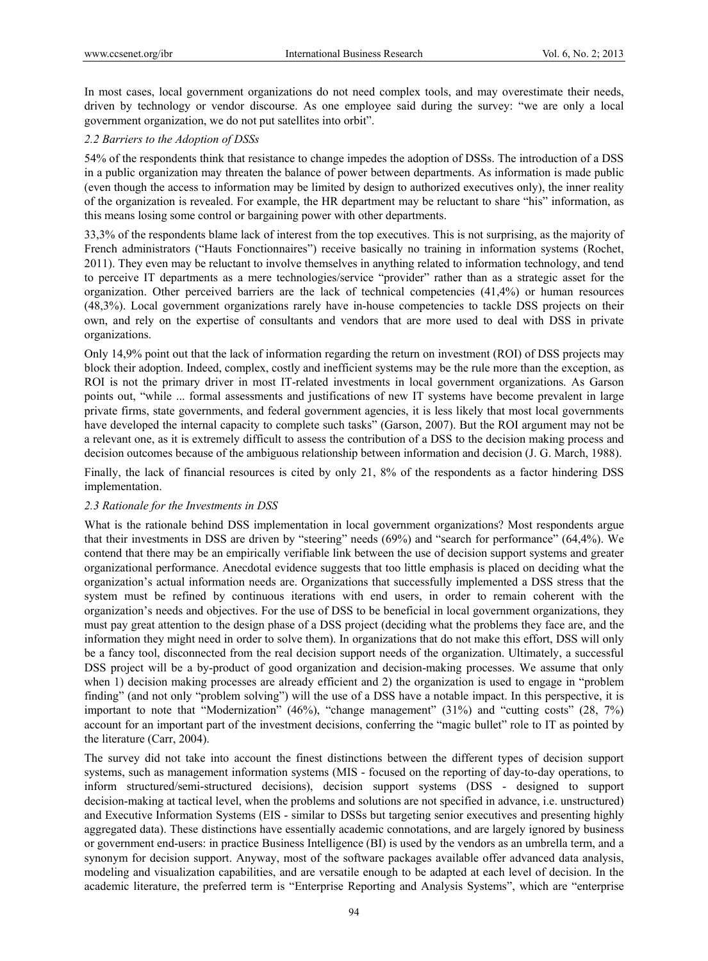In most cases, local government organizations do not need complex tools, and may overestimate their needs, driven by technology or vendor discourse. As one employee said during the survey: "we are only a local government organization, we do not put satellites into orbit".

### *2.2 Barriers to the Adoption of DSSs*

54% of the respondents think that resistance to change impedes the adoption of DSSs. The introduction of a DSS in a public organization may threaten the balance of power between departments. As information is made public (even though the access to information may be limited by design to authorized executives only), the inner reality of the organization is revealed. For example, the HR department may be reluctant to share "his" information, as this means losing some control or bargaining power with other departments.

33,3% of the respondents blame lack of interest from the top executives. This is not surprising, as the majority of French administrators ("Hauts Fonctionnaires") receive basically no training in information systems (Rochet, 2011). They even may be reluctant to involve themselves in anything related to information technology, and tend to perceive IT departments as a mere technologies/service "provider" rather than as a strategic asset for the organization. Other perceived barriers are the lack of technical competencies (41,4%) or human resources (48,3%). Local government organizations rarely have in-house competencies to tackle DSS projects on their own, and rely on the expertise of consultants and vendors that are more used to deal with DSS in private organizations.

Only 14,9% point out that the lack of information regarding the return on investment (ROI) of DSS projects may block their adoption. Indeed, complex, costly and inefficient systems may be the rule more than the exception, as ROI is not the primary driver in most IT-related investments in local government organizations. As Garson points out, "while ... formal assessments and justifications of new IT systems have become prevalent in large private firms, state governments, and federal government agencies, it is less likely that most local governments have developed the internal capacity to complete such tasks" (Garson, 2007). But the ROI argument may not be a relevant one, as it is extremely difficult to assess the contribution of a DSS to the decision making process and decision outcomes because of the ambiguous relationship between information and decision (J. G. March, 1988).

Finally, the lack of financial resources is cited by only 21, 8% of the respondents as a factor hindering DSS implementation.

#### *2.3 Rationale for the Investments in DSS*

What is the rationale behind DSS implementation in local government organizations? Most respondents argue that their investments in DSS are driven by "steering" needs (69%) and "search for performance" (64,4%). We contend that there may be an empirically verifiable link between the use of decision support systems and greater organizational performance. Anecdotal evidence suggests that too little emphasis is placed on deciding what the organization's actual information needs are. Organizations that successfully implemented a DSS stress that the system must be refined by continuous iterations with end users, in order to remain coherent with the organization's needs and objectives. For the use of DSS to be beneficial in local government organizations, they must pay great attention to the design phase of a DSS project (deciding what the problems they face are, and the information they might need in order to solve them). In organizations that do not make this effort, DSS will only be a fancy tool, disconnected from the real decision support needs of the organization. Ultimately, a successful DSS project will be a by-product of good organization and decision-making processes. We assume that only when 1) decision making processes are already efficient and 2) the organization is used to engage in "problem" finding" (and not only "problem solving") will the use of a DSS have a notable impact. In this perspective, it is important to note that "Modernization" (46%), "change management" (31%) and "cutting costs" (28, 7%) account for an important part of the investment decisions, conferring the "magic bullet" role to IT as pointed by the literature (Carr, 2004).

The survey did not take into account the finest distinctions between the different types of decision support systems, such as management information systems (MIS - focused on the reporting of day-to-day operations, to inform structured/semi-structured decisions), decision support systems (DSS - designed to support decision-making at tactical level, when the problems and solutions are not specified in advance, i.e. unstructured) and Executive Information Systems (EIS - similar to DSSs but targeting senior executives and presenting highly aggregated data). These distinctions have essentially academic connotations, and are largely ignored by business or government end-users: in practice Business Intelligence (BI) is used by the vendors as an umbrella term, and a synonym for decision support. Anyway, most of the software packages available offer advanced data analysis, modeling and visualization capabilities, and are versatile enough to be adapted at each level of decision. In the academic literature, the preferred term is "Enterprise Reporting and Analysis Systems", which are "enterprise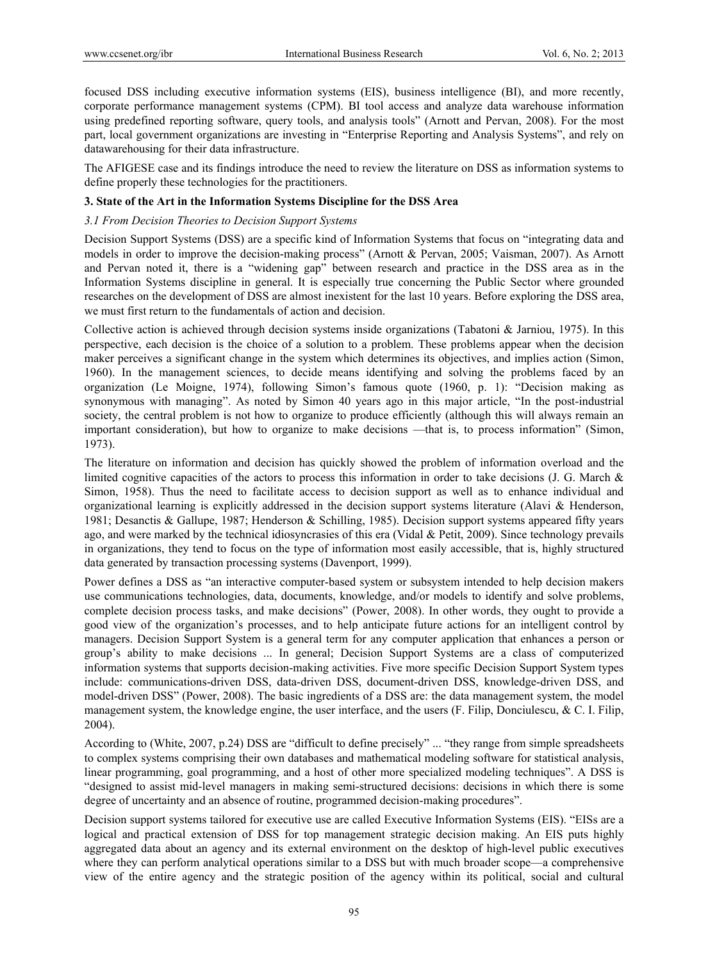focused DSS including executive information systems (EIS), business intelligence (BI), and more recently, corporate performance management systems (CPM). BI tool access and analyze data warehouse information using predefined reporting software, query tools, and analysis tools" (Arnott and Pervan, 2008). For the most part, local government organizations are investing in "Enterprise Reporting and Analysis Systems", and rely on datawarehousing for their data infrastructure.

The AFIGESE case and its findings introduce the need to review the literature on DSS as information systems to define properly these technologies for the practitioners.

## **3. State of the Art in the Information Systems Discipline for the DSS Area**

## *3.1 From Decision Theories to Decision Support Systems*

Decision Support Systems (DSS) are a specific kind of Information Systems that focus on "integrating data and models in order to improve the decision-making process" (Arnott & Pervan, 2005; Vaisman, 2007). As Arnott and Pervan noted it, there is a "widening gap" between research and practice in the DSS area as in the Information Systems discipline in general. It is especially true concerning the Public Sector where grounded researches on the development of DSS are almost inexistent for the last 10 years. Before exploring the DSS area, we must first return to the fundamentals of action and decision.

Collective action is achieved through decision systems inside organizations (Tabatoni & Jarniou, 1975). In this perspective, each decision is the choice of a solution to a problem. These problems appear when the decision maker perceives a significant change in the system which determines its objectives, and implies action (Simon, 1960). In the management sciences, to decide means identifying and solving the problems faced by an organization (Le Moigne, 1974), following Simon's famous quote (1960, p. 1): "Decision making as synonymous with managing". As noted by Simon 40 years ago in this major article, "In the post-industrial society, the central problem is not how to organize to produce efficiently (although this will always remain an important consideration), but how to organize to make decisions —that is, to process information" (Simon, 1973).

The literature on information and decision has quickly showed the problem of information overload and the limited cognitive capacities of the actors to process this information in order to take decisions (J. G. March & Simon, 1958). Thus the need to facilitate access to decision support as well as to enhance individual and organizational learning is explicitly addressed in the decision support systems literature (Alavi & Henderson, 1981; Desanctis & Gallupe, 1987; Henderson & Schilling, 1985). Decision support systems appeared fifty years ago, and were marked by the technical idiosyncrasies of this era (Vidal & Petit, 2009). Since technology prevails in organizations, they tend to focus on the type of information most easily accessible, that is, highly structured data generated by transaction processing systems (Davenport, 1999).

Power defines a DSS as "an interactive computer-based system or subsystem intended to help decision makers use communications technologies, data, documents, knowledge, and/or models to identify and solve problems, complete decision process tasks, and make decisions" (Power, 2008). In other words, they ought to provide a good view of the organization's processes, and to help anticipate future actions for an intelligent control by managers. Decision Support System is a general term for any computer application that enhances a person or group's ability to make decisions ... In general; Decision Support Systems are a class of computerized information systems that supports decision-making activities. Five more specific Decision Support System types include: communications-driven DSS, data-driven DSS, document-driven DSS, knowledge-driven DSS, and model-driven DSS" (Power, 2008). The basic ingredients of a DSS are: the data management system, the model management system, the knowledge engine, the user interface, and the users  $(F.$  Filip, Donciulescu,  $\& C.$  I. Filip, 2004).

According to (White, 2007, p.24) DSS are "difficult to define precisely" ... "they range from simple spreadsheets to complex systems comprising their own databases and mathematical modeling software for statistical analysis, linear programming, goal programming, and a host of other more specialized modeling techniques". A DSS is "designed to assist mid-level managers in making semi-structured decisions: decisions in which there is some degree of uncertainty and an absence of routine, programmed decision-making procedures".

Decision support systems tailored for executive use are called Executive Information Systems (EIS). "EISs are a logical and practical extension of DSS for top management strategic decision making. An EIS puts highly aggregated data about an agency and its external environment on the desktop of high-level public executives where they can perform analytical operations similar to a DSS but with much broader scope—a comprehensive view of the entire agency and the strategic position of the agency within its political, social and cultural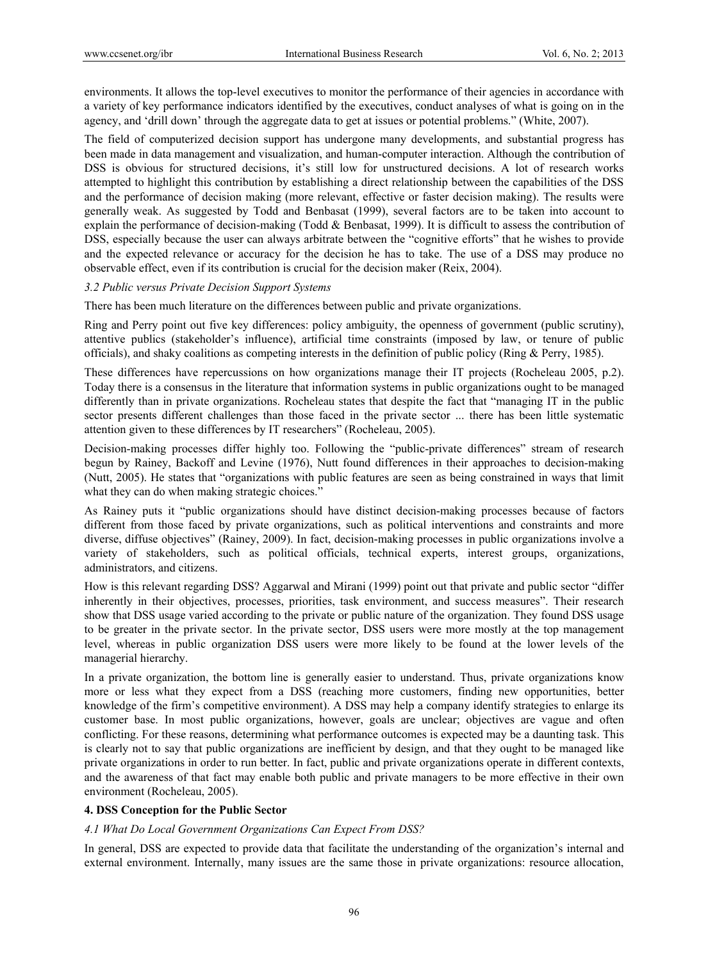environments. It allows the top-level executives to monitor the performance of their agencies in accordance with a variety of key performance indicators identified by the executives, conduct analyses of what is going on in the agency, and 'drill down' through the aggregate data to get at issues or potential problems." (White, 2007).

The field of computerized decision support has undergone many developments, and substantial progress has been made in data management and visualization, and human-computer interaction. Although the contribution of DSS is obvious for structured decisions, it's still low for unstructured decisions. A lot of research works attempted to highlight this contribution by establishing a direct relationship between the capabilities of the DSS and the performance of decision making (more relevant, effective or faster decision making). The results were generally weak. As suggested by Todd and Benbasat (1999), several factors are to be taken into account to explain the performance of decision-making (Todd  $\&$  Benbasat, 1999). It is difficult to assess the contribution of DSS, especially because the user can always arbitrate between the "cognitive efforts" that he wishes to provide and the expected relevance or accuracy for the decision he has to take. The use of a DSS may produce no observable effect, even if its contribution is crucial for the decision maker (Reix, 2004).

#### *3.2 Public versus Private Decision Support Systems*

There has been much literature on the differences between public and private organizations.

Ring and Perry point out five key differences: policy ambiguity, the openness of government (public scrutiny), attentive publics (stakeholder's influence), artificial time constraints (imposed by law, or tenure of public officials), and shaky coalitions as competing interests in the definition of public policy (Ring & Perry, 1985).

These differences have repercussions on how organizations manage their IT projects (Rocheleau 2005, p.2). Today there is a consensus in the literature that information systems in public organizations ought to be managed differently than in private organizations. Rocheleau states that despite the fact that "managing IT in the public sector presents different challenges than those faced in the private sector ... there has been little systematic attention given to these differences by IT researchers" (Rocheleau, 2005).

Decision-making processes differ highly too. Following the "public-private differences" stream of research begun by Rainey, Backoff and Levine (1976), Nutt found differences in their approaches to decision-making (Nutt, 2005). He states that "organizations with public features are seen as being constrained in ways that limit what they can do when making strategic choices."

As Rainey puts it "public organizations should have distinct decision-making processes because of factors different from those faced by private organizations, such as political interventions and constraints and more diverse, diffuse objectives" (Rainey, 2009). In fact, decision-making processes in public organizations involve a variety of stakeholders, such as political officials, technical experts, interest groups, organizations, administrators, and citizens.

How is this relevant regarding DSS? Aggarwal and Mirani (1999) point out that private and public sector "differ inherently in their objectives, processes, priorities, task environment, and success measures". Their research show that DSS usage varied according to the private or public nature of the organization. They found DSS usage to be greater in the private sector. In the private sector, DSS users were more mostly at the top management level, whereas in public organization DSS users were more likely to be found at the lower levels of the managerial hierarchy.

In a private organization, the bottom line is generally easier to understand. Thus, private organizations know more or less what they expect from a DSS (reaching more customers, finding new opportunities, better knowledge of the firm's competitive environment). A DSS may help a company identify strategies to enlarge its customer base. In most public organizations, however, goals are unclear; objectives are vague and often conflicting. For these reasons, determining what performance outcomes is expected may be a daunting task. This is clearly not to say that public organizations are inefficient by design, and that they ought to be managed like private organizations in order to run better. In fact, public and private organizations operate in different contexts, and the awareness of that fact may enable both public and private managers to be more effective in their own environment (Rocheleau, 2005).

### **4. DSS Conception for the Public Sector**

#### *4.1 What Do Local Government Organizations Can Expect From DSS?*

In general, DSS are expected to provide data that facilitate the understanding of the organization's internal and external environment. Internally, many issues are the same those in private organizations: resource allocation,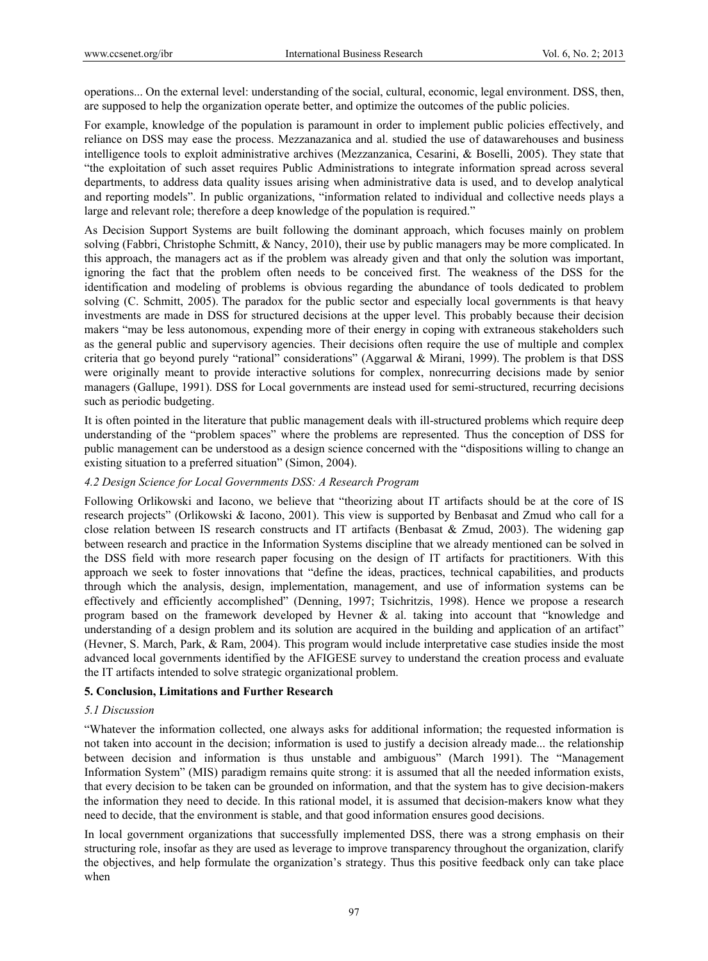operations... On the external level: understanding of the social, cultural, economic, legal environment. DSS, then, are supposed to help the organization operate better, and optimize the outcomes of the public policies.

For example, knowledge of the population is paramount in order to implement public policies effectively, and reliance on DSS may ease the process. Mezzanazanica and al. studied the use of datawarehouses and business intelligence tools to exploit administrative archives (Mezzanzanica, Cesarini, & Boselli, 2005). They state that "the exploitation of such asset requires Public Administrations to integrate information spread across several departments, to address data quality issues arising when administrative data is used, and to develop analytical and reporting models". In public organizations, "information related to individual and collective needs plays a large and relevant role; therefore a deep knowledge of the population is required."

As Decision Support Systems are built following the dominant approach, which focuses mainly on problem solving (Fabbri, Christophe Schmitt, & Nancy, 2010), their use by public managers may be more complicated. In this approach, the managers act as if the problem was already given and that only the solution was important, ignoring the fact that the problem often needs to be conceived first. The weakness of the DSS for the identification and modeling of problems is obvious regarding the abundance of tools dedicated to problem solving (C. Schmitt, 2005). The paradox for the public sector and especially local governments is that heavy investments are made in DSS for structured decisions at the upper level. This probably because their decision makers "may be less autonomous, expending more of their energy in coping with extraneous stakeholders such as the general public and supervisory agencies. Their decisions often require the use of multiple and complex criteria that go beyond purely "rational" considerations" (Aggarwal & Mirani, 1999). The problem is that DSS were originally meant to provide interactive solutions for complex, nonrecurring decisions made by senior managers (Gallupe, 1991). DSS for Local governments are instead used for semi-structured, recurring decisions such as periodic budgeting.

It is often pointed in the literature that public management deals with ill-structured problems which require deep understanding of the "problem spaces" where the problems are represented. Thus the conception of DSS for public management can be understood as a design science concerned with the "dispositions willing to change an existing situation to a preferred situation" (Simon, 2004).

#### *4.2 Design Science for Local Governments DSS: A Research Program*

Following Orlikowski and Iacono, we believe that "theorizing about IT artifacts should be at the core of IS research projects" (Orlikowski & Iacono, 2001). This view is supported by Benbasat and Zmud who call for a close relation between IS research constructs and IT artifacts (Benbasat & Zmud, 2003). The widening gap between research and practice in the Information Systems discipline that we already mentioned can be solved in the DSS field with more research paper focusing on the design of IT artifacts for practitioners. With this approach we seek to foster innovations that "define the ideas, practices, technical capabilities, and products through which the analysis, design, implementation, management, and use of information systems can be effectively and efficiently accomplished" (Denning, 1997; Tsichritzis, 1998). Hence we propose a research program based on the framework developed by Hevner & al. taking into account that "knowledge and understanding of a design problem and its solution are acquired in the building and application of an artifact" (Hevner, S. March, Park, & Ram, 2004). This program would include interpretative case studies inside the most advanced local governments identified by the AFIGESE survey to understand the creation process and evaluate the IT artifacts intended to solve strategic organizational problem.

#### **5. Conclusion, Limitations and Further Research**

#### *5.1 Discussion*

"Whatever the information collected, one always asks for additional information; the requested information is not taken into account in the decision; information is used to justify a decision already made... the relationship between decision and information is thus unstable and ambiguous" (March 1991). The "Management Information System" (MIS) paradigm remains quite strong: it is assumed that all the needed information exists, that every decision to be taken can be grounded on information, and that the system has to give decision-makers the information they need to decide. In this rational model, it is assumed that decision-makers know what they need to decide, that the environment is stable, and that good information ensures good decisions.

In local government organizations that successfully implemented DSS, there was a strong emphasis on their structuring role, insofar as they are used as leverage to improve transparency throughout the organization, clarify the objectives, and help formulate the organization's strategy. Thus this positive feedback only can take place when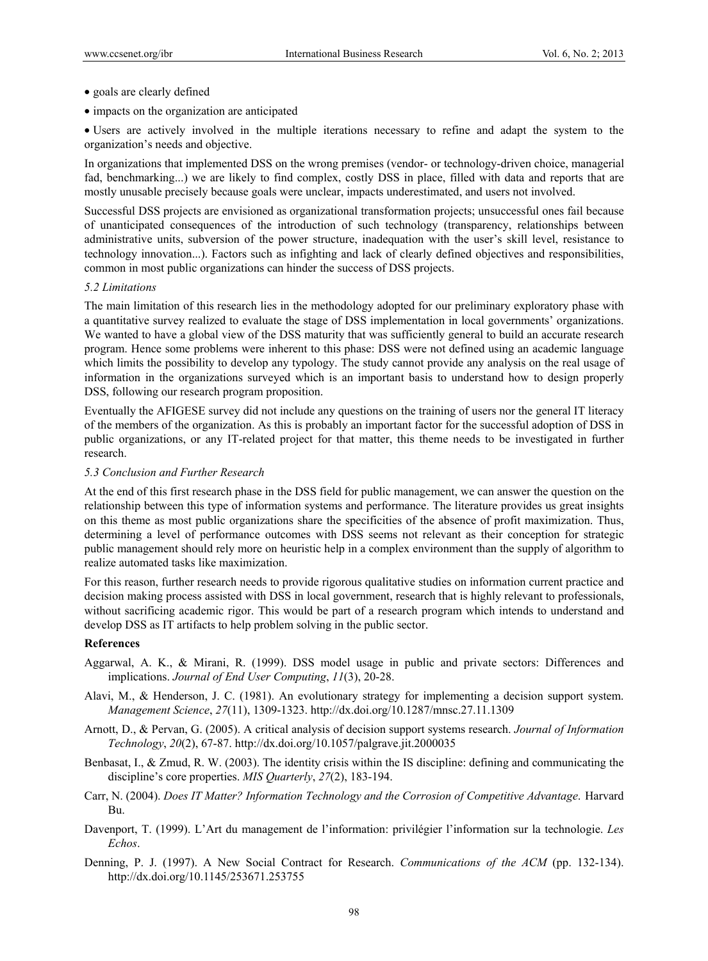- goals are clearly defined
- impacts on the organization are anticipated

 Users are actively involved in the multiple iterations necessary to refine and adapt the system to the organization's needs and objective.

In organizations that implemented DSS on the wrong premises (vendor- or technology-driven choice, managerial fad, benchmarking...) we are likely to find complex, costly DSS in place, filled with data and reports that are mostly unusable precisely because goals were unclear, impacts underestimated, and users not involved.

Successful DSS projects are envisioned as organizational transformation projects; unsuccessful ones fail because of unanticipated consequences of the introduction of such technology (transparency, relationships between administrative units, subversion of the power structure, inadequation with the user's skill level, resistance to technology innovation...). Factors such as infighting and lack of clearly defined objectives and responsibilities, common in most public organizations can hinder the success of DSS projects.

#### *5.2 Limitations*

The main limitation of this research lies in the methodology adopted for our preliminary exploratory phase with a quantitative survey realized to evaluate the stage of DSS implementation in local governments' organizations. We wanted to have a global view of the DSS maturity that was sufficiently general to build an accurate research program. Hence some problems were inherent to this phase: DSS were not defined using an academic language which limits the possibility to develop any typology. The study cannot provide any analysis on the real usage of information in the organizations surveyed which is an important basis to understand how to design properly DSS, following our research program proposition.

Eventually the AFIGESE survey did not include any questions on the training of users nor the general IT literacy of the members of the organization. As this is probably an important factor for the successful adoption of DSS in public organizations, or any IT-related project for that matter, this theme needs to be investigated in further research.

### *5.3 Conclusion and Further Research*

At the end of this first research phase in the DSS field for public management, we can answer the question on the relationship between this type of information systems and performance. The literature provides us great insights on this theme as most public organizations share the specificities of the absence of profit maximization. Thus, determining a level of performance outcomes with DSS seems not relevant as their conception for strategic public management should rely more on heuristic help in a complex environment than the supply of algorithm to realize automated tasks like maximization.

For this reason, further research needs to provide rigorous qualitative studies on information current practice and decision making process assisted with DSS in local government, research that is highly relevant to professionals, without sacrificing academic rigor. This would be part of a research program which intends to understand and develop DSS as IT artifacts to help problem solving in the public sector.

#### **References**

- Aggarwal, A. K., & Mirani, R. (1999). DSS model usage in public and private sectors: Differences and implications. *Journal of End User Computing*, *11*(3), 20-28.
- Alavi, M., & Henderson, J. C. (1981). An evolutionary strategy for implementing a decision support system. *Management Science*, *27*(11), 1309-1323. http://dx.doi.org/10.1287/mnsc.27.11.1309
- Arnott, D., & Pervan, G. (2005). A critical analysis of decision support systems research. *Journal of Information Technology*, *20*(2), 67-87. http://dx.doi.org/10.1057/palgrave.jit.2000035
- Benbasat, I., & Zmud, R. W. (2003). The identity crisis within the IS discipline: defining and communicating the discipline's core properties. *MIS Quarterly*, *27*(2), 183-194.
- Carr, N. (2004). *Does IT Matter? Information Technology and the Corrosion of Competitive Advantage*. Harvard Bu.
- Davenport, T. (1999). L'Art du management de l'information: privilégier l'information sur la technologie. *Les Echos*.
- Denning, P. J. (1997). A New Social Contract for Research. *Communications of the ACM* (pp. 132-134). http://dx.doi.org/10.1145/253671.253755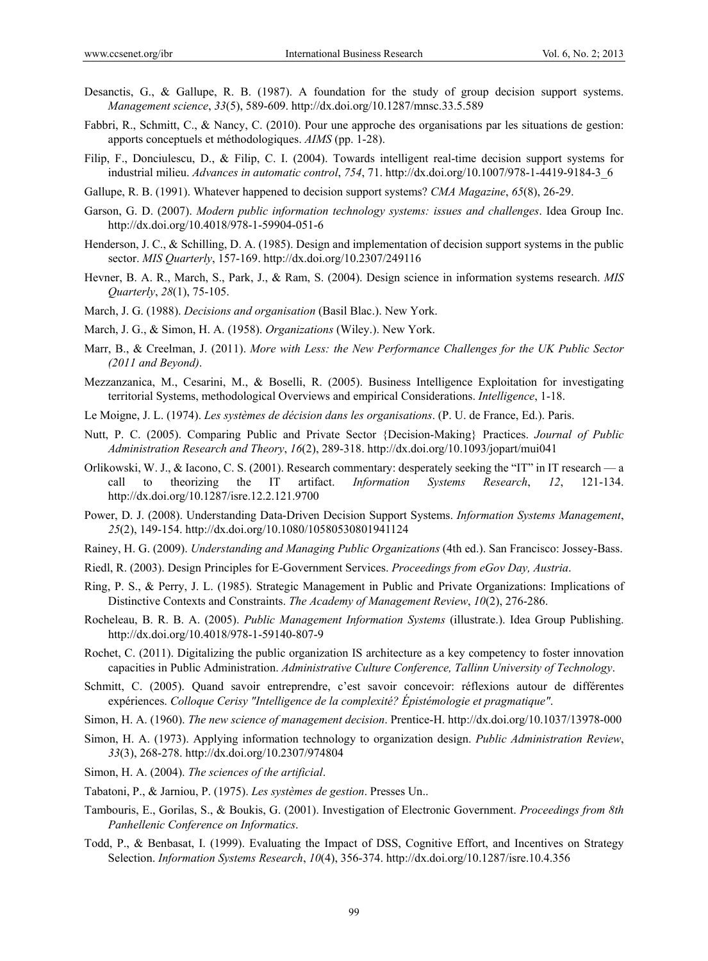- Desanctis, G., & Gallupe, R. B. (1987). A foundation for the study of group decision support systems. *Management science*, *33*(5), 589-609. http://dx.doi.org/10.1287/mnsc.33.5.589
- Fabbri, R., Schmitt, C., & Nancy, C. (2010). Pour une approche des organisations par les situations de gestion: apports conceptuels et méthodologiques. *AIMS* (pp. 1-28).
- Filip, F., Donciulescu, D., & Filip, C. I. (2004). Towards intelligent real-time decision support systems for industrial milieu. *Advances in automatic control*, *754*, 71. http://dx.doi.org/10.1007/978-1-4419-9184-3\_6
- Gallupe, R. B. (1991). Whatever happened to decision support systems? *CMA Magazine*, *65*(8), 26-29.
- Garson, G. D. (2007). *Modern public information technology systems: issues and challenges*. Idea Group Inc. http://dx.doi.org/10.4018/978-1-59904-051-6
- Henderson, J. C., & Schilling, D. A. (1985). Design and implementation of decision support systems in the public sector. *MIS Quarterly*, 157-169. http://dx.doi.org/10.2307/249116
- Hevner, B. A. R., March, S., Park, J., & Ram, S. (2004). Design science in information systems research. *MIS Quarterly*, *28*(1), 75-105.
- March, J. G. (1988). *Decisions and organisation* (Basil Blac.). New York.
- March, J. G., & Simon, H. A. (1958). *Organizations* (Wiley.). New York.
- Marr, B., & Creelman, J. (2011). *More with Less: the New Performance Challenges for the UK Public Sector (2011 and Beyond)*.
- Mezzanzanica, M., Cesarini, M., & Boselli, R. (2005). Business Intelligence Exploitation for investigating territorial Systems, methodological Overviews and empirical Considerations. *Intelligence*, 1-18.
- Le Moigne, J. L. (1974). *Les systèmes de décision dans les organisations*. (P. U. de France, Ed.). Paris.
- Nutt, P. C. (2005). Comparing Public and Private Sector {Decision-Making} Practices. *Journal of Public Administration Research and Theory*, *16*(2), 289-318. http://dx.doi.org/10.1093/jopart/mui041
- Orlikowski, W. J., & Iacono, C. S. (2001). Research commentary: desperately seeking the "IT" in IT research a call to theorizing the IT artifact. *Information Systems Research*, *12*, 121-134. http://dx.doi.org/10.1287/isre.12.2.121.9700
- Power, D. J. (2008). Understanding Data-Driven Decision Support Systems. *Information Systems Management*, *25*(2), 149-154. http://dx.doi.org/10.1080/10580530801941124
- Rainey, H. G. (2009). *Understanding and Managing Public Organizations* (4th ed.). San Francisco: Jossey-Bass.
- Riedl, R. (2003). Design Principles for E-Government Services. *Proceedings from eGov Day, Austria*.
- Ring, P. S., & Perry, J. L. (1985). Strategic Management in Public and Private Organizations: Implications of Distinctive Contexts and Constraints. *The Academy of Management Review*, *10*(2), 276-286.
- Rocheleau, B. R. B. A. (2005). *Public Management Information Systems* (illustrate.). Idea Group Publishing. http://dx.doi.org/10.4018/978-1-59140-807-9
- Rochet, C. (2011). Digitalizing the public organization IS architecture as a key competency to foster innovation capacities in Public Administration. *Administrative Culture Conference, Tallinn University of Technology*.
- Schmitt, C. (2005). Quand savoir entreprendre, c'est savoir concevoir: réflexions autour de différentes expériences. *Colloque Cerisy "Intelligence de la complexité? Épistémologie et pragmatique"*.
- Simon, H. A. (1960). *The new science of management decision*. Prentice-H. http://dx.doi.org/10.1037/13978-000
- Simon, H. A. (1973). Applying information technology to organization design. *Public Administration Review*, *33*(3), 268-278. http://dx.doi.org/10.2307/974804
- Simon, H. A. (2004). *The sciences of the artificial*.
- Tabatoni, P., & Jarniou, P. (1975). *Les systèmes de gestion*. Presses Un..
- Tambouris, E., Gorilas, S., & Boukis, G. (2001). Investigation of Electronic Government. *Proceedings from 8th Panhellenic Conference on Informatics*.
- Todd, P., & Benbasat, I. (1999). Evaluating the Impact of DSS, Cognitive Effort, and Incentives on Strategy Selection. *Information Systems Research*, *10*(4), 356-374. http://dx.doi.org/10.1287/isre.10.4.356